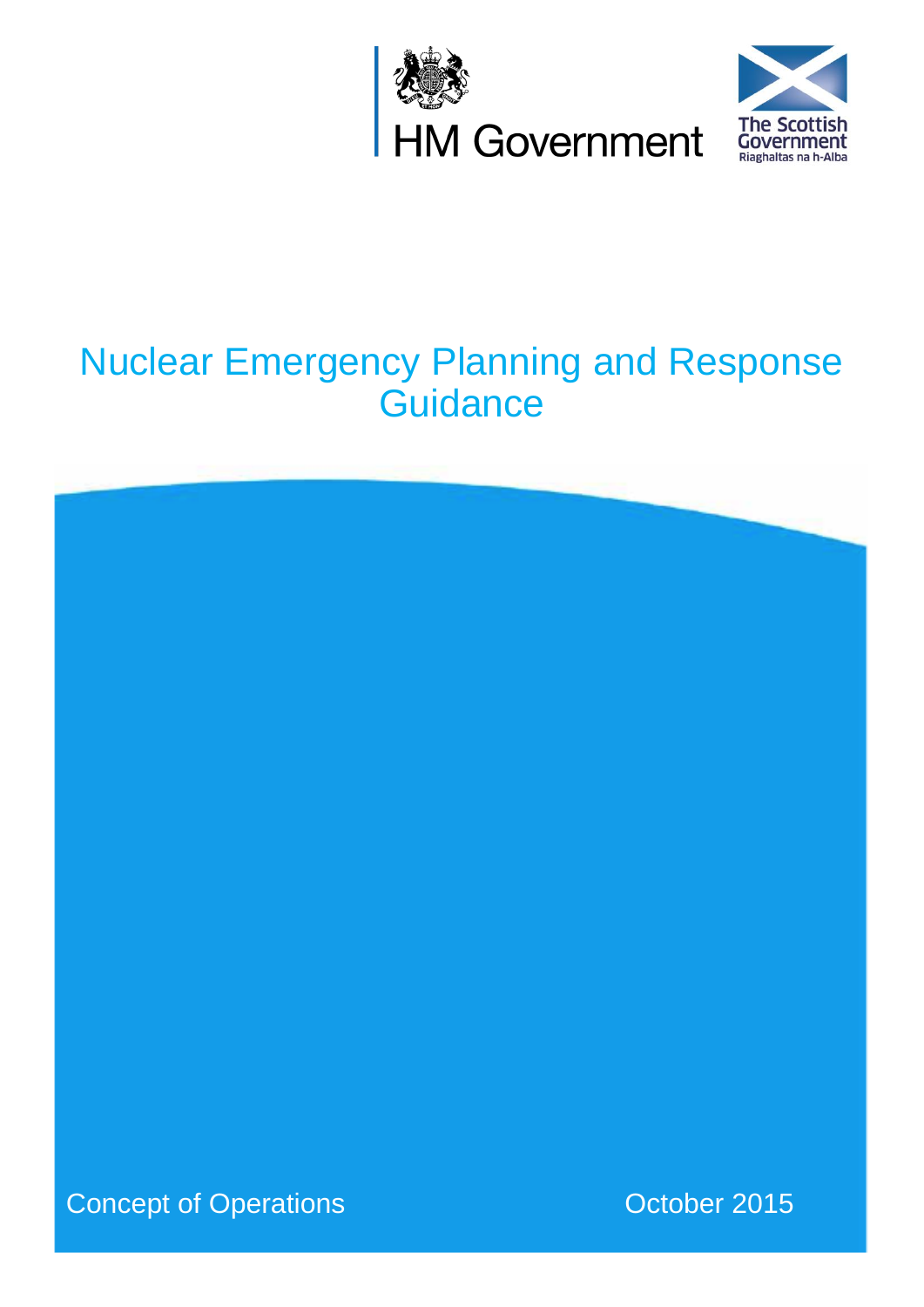



## Nuclear Emergency Planning and Response **Guidance**

| <b>Concept of Operations</b> | October 2015 |
|------------------------------|--------------|
|                              |              |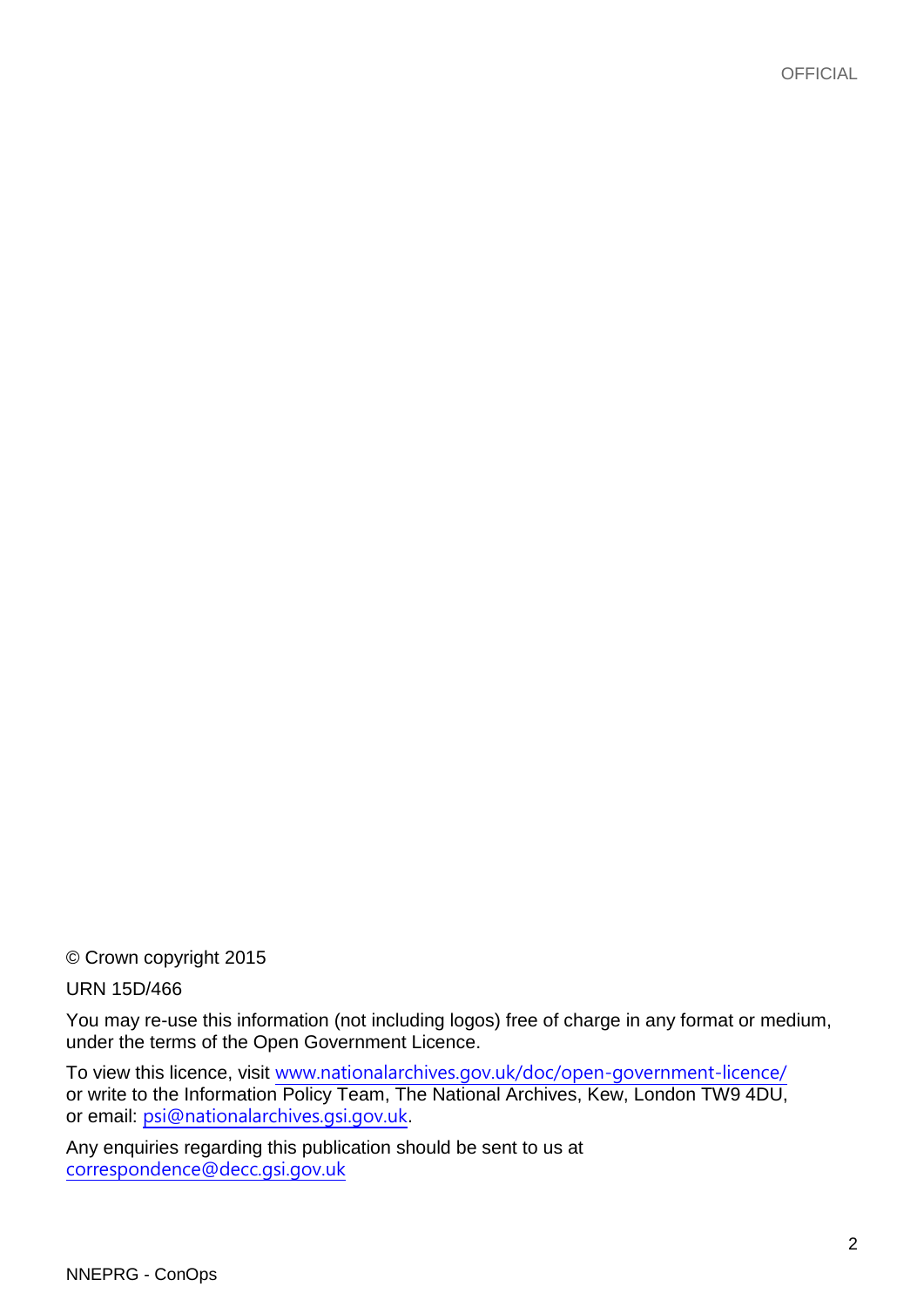© Crown copyright 2015

URN 15D/466

You may re-use this information (not including logos) free of charge in any format or medium, under the terms of the Open Government Licence.

To view this licence, visit [www.nationalarchives.gov.uk/doc/open-government-licence/](http://www.nationalarchives.gov.uk/doc/open-government-licence/) or write to the Information Policy Team, The National Archives, Kew, London TW9 4DU, or email: [psi@nationalarchives.gsi.gov.uk](mailto:psi@nationalarchives.gsi.gov.uk).

Any enquiries regarding this publication should be sent to us at [correspondence@decc.gsi.gov.uk](mailto:correspondence@decc.gsi.gov.uk)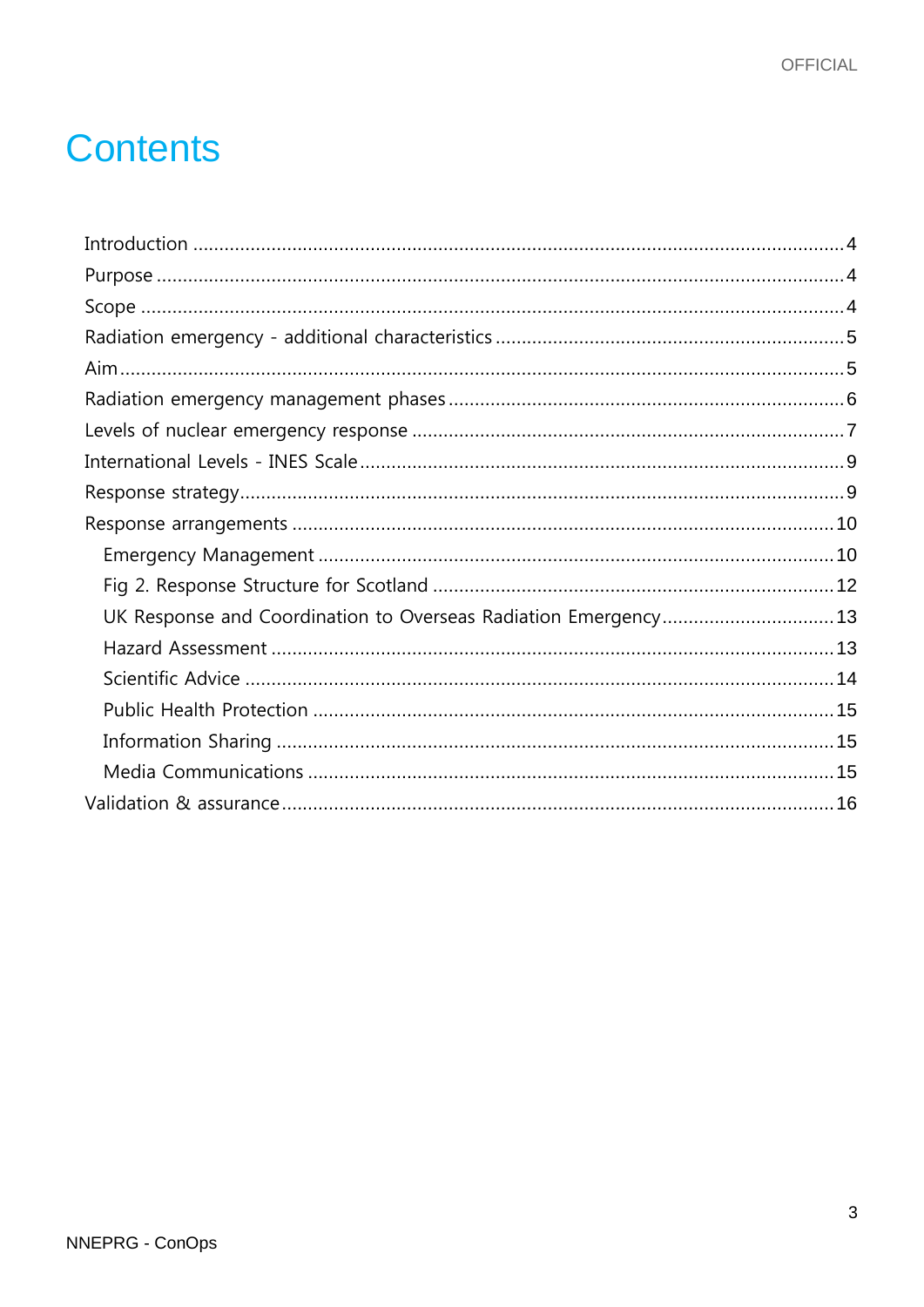# **Contents**

| UK Response and Coordination to Overseas Radiation Emergency 13 |  |
|-----------------------------------------------------------------|--|
|                                                                 |  |
|                                                                 |  |
|                                                                 |  |
|                                                                 |  |
|                                                                 |  |
|                                                                 |  |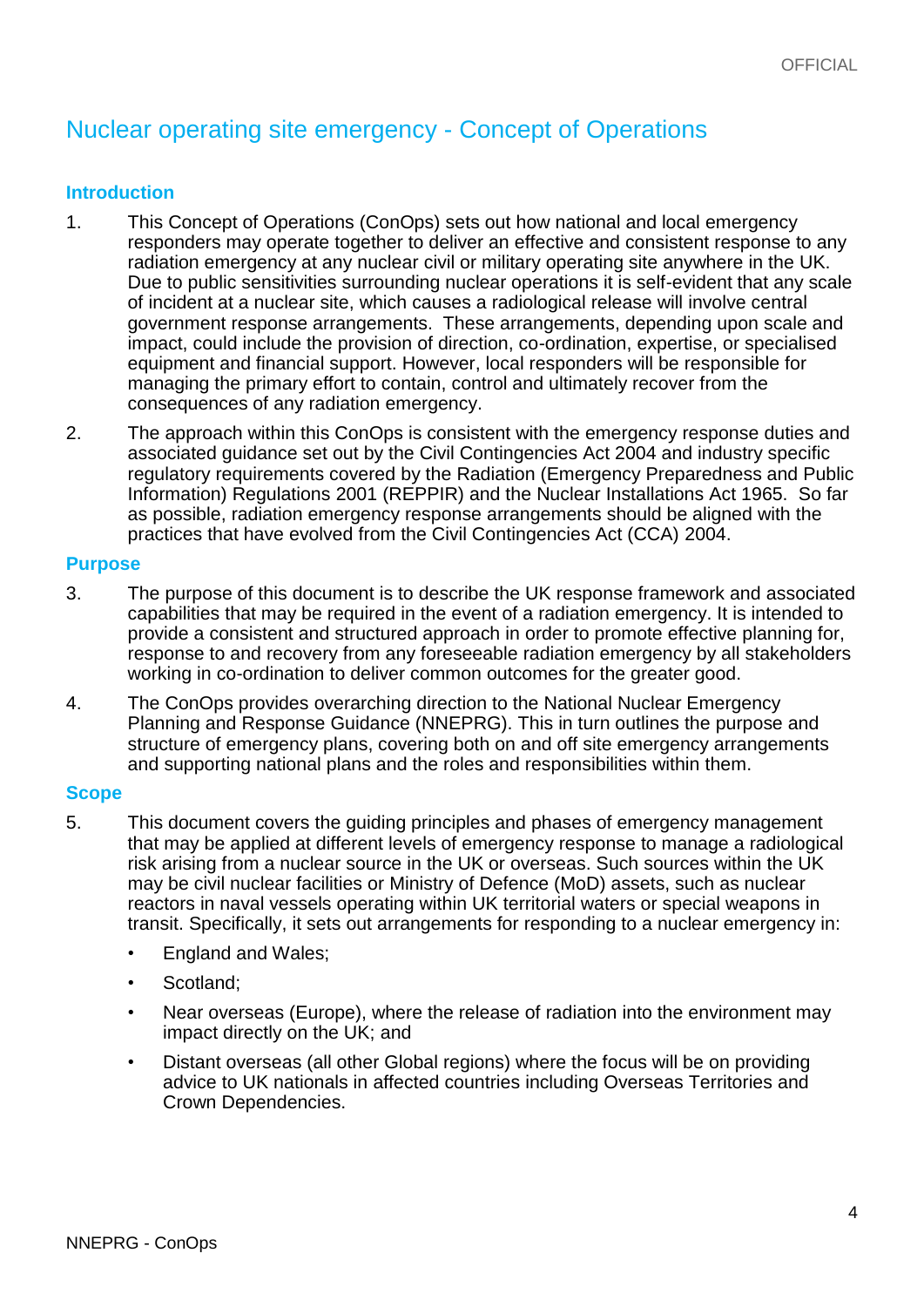### Nuclear operating site emergency - Concept of Operations

#### <span id="page-3-0"></span>**Introduction**

- 1. This Concept of Operations (ConOps) sets out how national and local emergency responders may operate together to deliver an effective and consistent response to any radiation emergency at any nuclear civil or military operating site anywhere in the UK. Due to public sensitivities surrounding nuclear operations it is self-evident that any scale of incident at a nuclear site, which causes a radiological release will involve central government response arrangements. These arrangements, depending upon scale and impact, could include the provision of direction, co-ordination, expertise, or specialised equipment and financial support. However, local responders will be responsible for managing the primary effort to contain, control and ultimately recover from the consequences of any radiation emergency.
- 2. The approach within this ConOps is consistent with the emergency response duties and associated guidance set out by the Civil Contingencies Act 2004 and industry specific regulatory requirements covered by the Radiation (Emergency Preparedness and Public Information) Regulations 2001 (REPPIR) and the Nuclear Installations Act 1965. So far as possible, radiation emergency response arrangements should be aligned with the practices that have evolved from the Civil Contingencies Act (CCA) 2004.

#### <span id="page-3-1"></span>**Purpose**

- 3. The purpose of this document is to describe the UK response framework and associated capabilities that may be required in the event of a radiation emergency. It is intended to provide a consistent and structured approach in order to promote effective planning for, response to and recovery from any foreseeable radiation emergency by all stakeholders working in co-ordination to deliver common outcomes for the greater good.
- 4. The ConOps provides overarching direction to the National Nuclear Emergency Planning and Response Guidance (NNEPRG). This in turn outlines the purpose and structure of emergency plans, covering both on and off site emergency arrangements and supporting national plans and the roles and responsibilities within them.

#### <span id="page-3-2"></span>**Scope**

- 5. This document covers the guiding principles and phases of emergency management that may be applied at different levels of emergency response to manage a radiological risk arising from a nuclear source in the UK or overseas. Such sources within the UK may be civil nuclear facilities or Ministry of Defence (MoD) assets, such as nuclear reactors in naval vessels operating within UK territorial waters or special weapons in transit. Specifically, it sets out arrangements for responding to a nuclear emergency in:
	- England and Wales;
	- Scotland:
	- Near overseas (Europe), where the release of radiation into the environment may impact directly on the UK; and
	- Distant overseas (all other Global regions) where the focus will be on providing advice to UK nationals in affected countries including Overseas Territories and Crown Dependencies.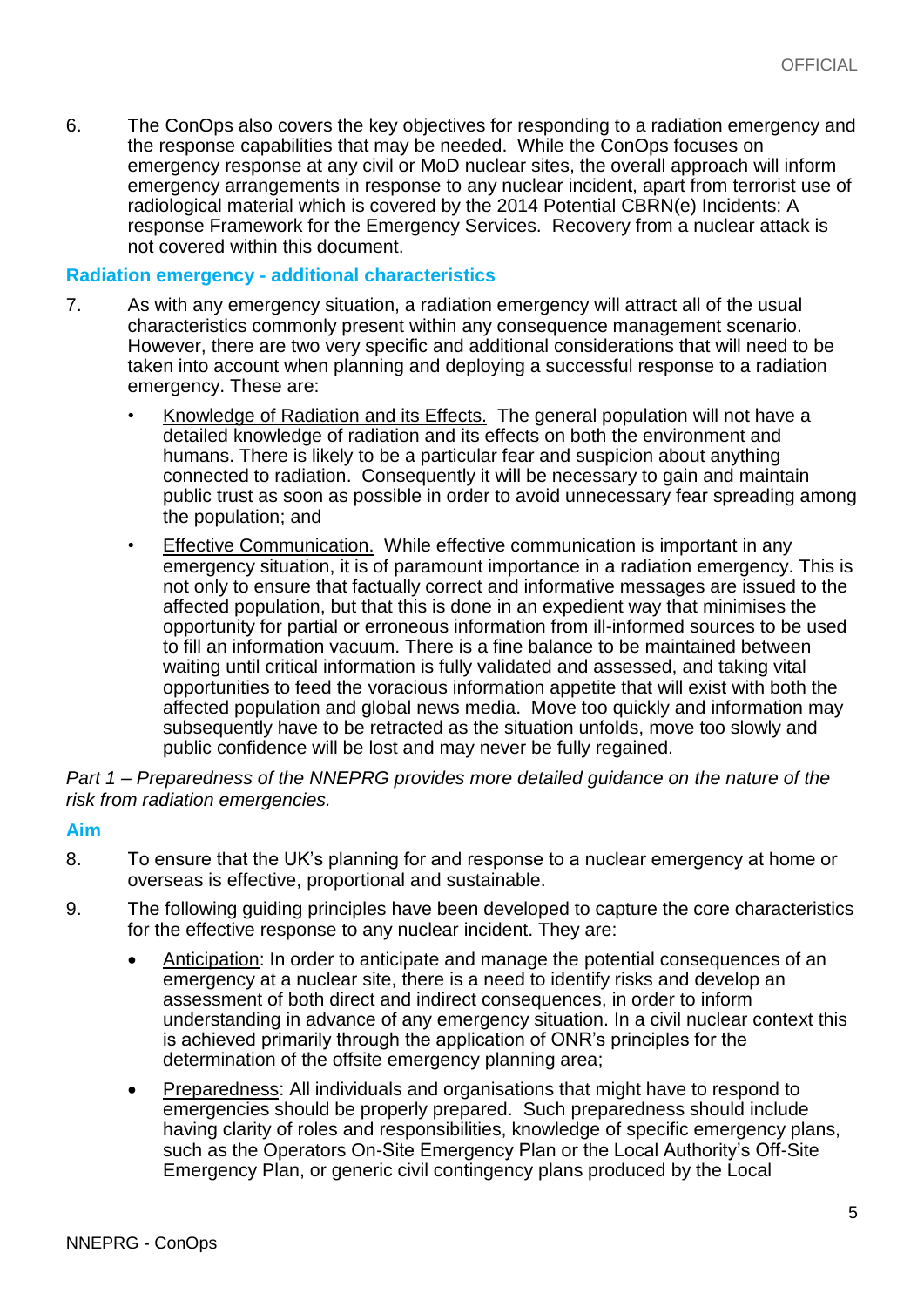6. The ConOps also covers the key objectives for responding to a radiation emergency and the response capabilities that may be needed. While the ConOps focuses on emergency response at any civil or MoD nuclear sites, the overall approach will inform emergency arrangements in response to any nuclear incident, apart from terrorist use of radiological material which is covered by the 2014 Potential CBRN(e) Incidents: A response Framework for the Emergency Services. Recovery from a nuclear attack is not covered within this document.

#### <span id="page-4-0"></span>**Radiation emergency - additional characteristics**

- 7. As with any emergency situation, a radiation emergency will attract all of the usual characteristics commonly present within any consequence management scenario. However, there are two very specific and additional considerations that will need to be taken into account when planning and deploying a successful response to a radiation emergency. These are:
	- Knowledge of Radiation and its Effects. The general population will not have a detailed knowledge of radiation and its effects on both the environment and humans. There is likely to be a particular fear and suspicion about anything connected to radiation. Consequently it will be necessary to gain and maintain public trust as soon as possible in order to avoid unnecessary fear spreading among the population; and
	- **Effective Communication.** While effective communication is important in any emergency situation, it is of paramount importance in a radiation emergency. This is not only to ensure that factually correct and informative messages are issued to the affected population, but that this is done in an expedient way that minimises the opportunity for partial or erroneous information from ill-informed sources to be used to fill an information vacuum. There is a fine balance to be maintained between waiting until critical information is fully validated and assessed, and taking vital opportunities to feed the voracious information appetite that will exist with both the affected population and global news media. Move too quickly and information may subsequently have to be retracted as the situation unfolds, move too slowly and public confidence will be lost and may never be fully regained.

*Part 1 – Preparedness of the NNEPRG provides more detailed guidance on the nature of the risk from radiation emergencies.* 

#### <span id="page-4-1"></span>**Aim**

- 8. To ensure that the UK's planning for and response to a nuclear emergency at home or overseas is effective, proportional and sustainable.
- 9. The following guiding principles have been developed to capture the core characteristics for the effective response to any nuclear incident. They are:
	- Anticipation: In order to anticipate and manage the potential consequences of an emergency at a nuclear site, there is a need to identify risks and develop an assessment of both direct and indirect consequences, in order to inform understanding in advance of any emergency situation. In a civil nuclear context this is achieved primarily through the application of ONR's principles for the determination of the offsite emergency planning area;
	- Preparedness: All individuals and organisations that might have to respond to emergencies should be properly prepared. Such preparedness should include having clarity of roles and responsibilities, knowledge of specific emergency plans, such as the Operators On-Site Emergency Plan or the Local Authority's Off-Site Emergency Plan, or generic civil contingency plans produced by the Local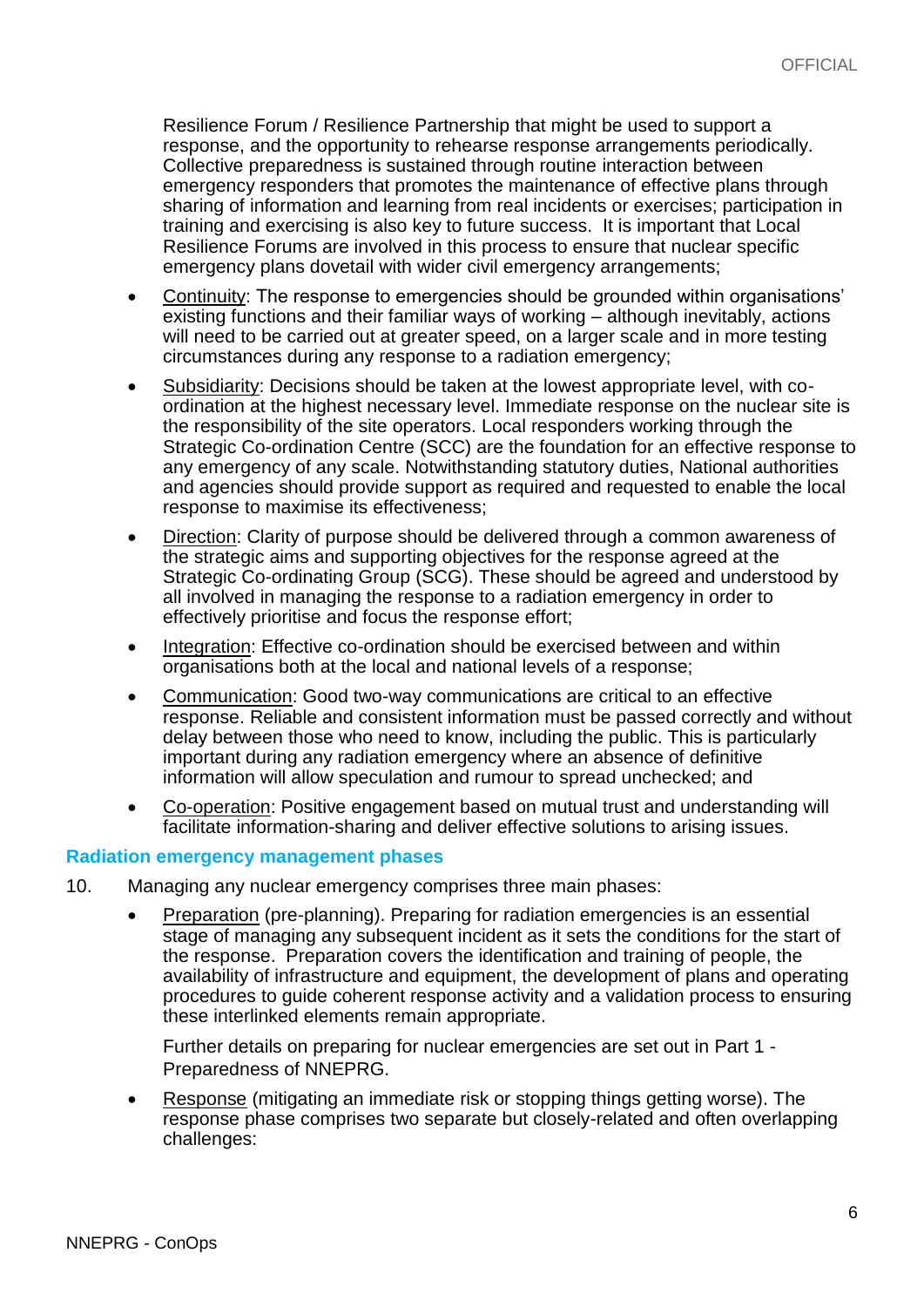Resilience Forum / Resilience Partnership that might be used to support a response, and the opportunity to rehearse response arrangements periodically. Collective preparedness is sustained through routine interaction between emergency responders that promotes the maintenance of effective plans through sharing of information and learning from real incidents or exercises; participation in training and exercising is also key to future success. It is important that Local Resilience Forums are involved in this process to ensure that nuclear specific emergency plans dovetail with wider civil emergency arrangements;

- Continuity: The response to emergencies should be grounded within organisations' existing functions and their familiar ways of working – although inevitably, actions will need to be carried out at greater speed, on a larger scale and in more testing circumstances during any response to a radiation emergency;
- Subsidiarity: Decisions should be taken at the lowest appropriate level, with coordination at the highest necessary level. Immediate response on the nuclear site is the responsibility of the site operators. Local responders working through the Strategic Co-ordination Centre (SCC) are the foundation for an effective response to any emergency of any scale. Notwithstanding statutory duties, National authorities and agencies should provide support as required and requested to enable the local response to maximise its effectiveness;
- Direction: Clarity of purpose should be delivered through a common awareness of the strategic aims and supporting objectives for the response agreed at the Strategic Co-ordinating Group (SCG). These should be agreed and understood by all involved in managing the response to a radiation emergency in order to effectively prioritise and focus the response effort;
- Integration: Effective co-ordination should be exercised between and within organisations both at the local and national levels of a response;
- Communication: Good two-way communications are critical to an effective response. Reliable and consistent information must be passed correctly and without delay between those who need to know, including the public. This is particularly important during any radiation emergency where an absence of definitive information will allow speculation and rumour to spread unchecked; and
- Co-operation: Positive engagement based on mutual trust and understanding will facilitate information-sharing and deliver effective solutions to arising issues.

#### <span id="page-5-0"></span>**Radiation emergency management phases**

- 10. Managing any nuclear emergency comprises three main phases:
	- Preparation (pre-planning). Preparing for radiation emergencies is an essential stage of managing any subsequent incident as it sets the conditions for the start of the response. Preparation covers the identification and training of people, the availability of infrastructure and equipment, the development of plans and operating procedures to guide coherent response activity and a validation process to ensuring these interlinked elements remain appropriate.

Further details on preparing for nuclear emergencies are set out in Part 1 - Preparedness of NNEPRG.

 Response (mitigating an immediate risk or stopping things getting worse). The response phase comprises two separate but closely-related and often overlapping challenges: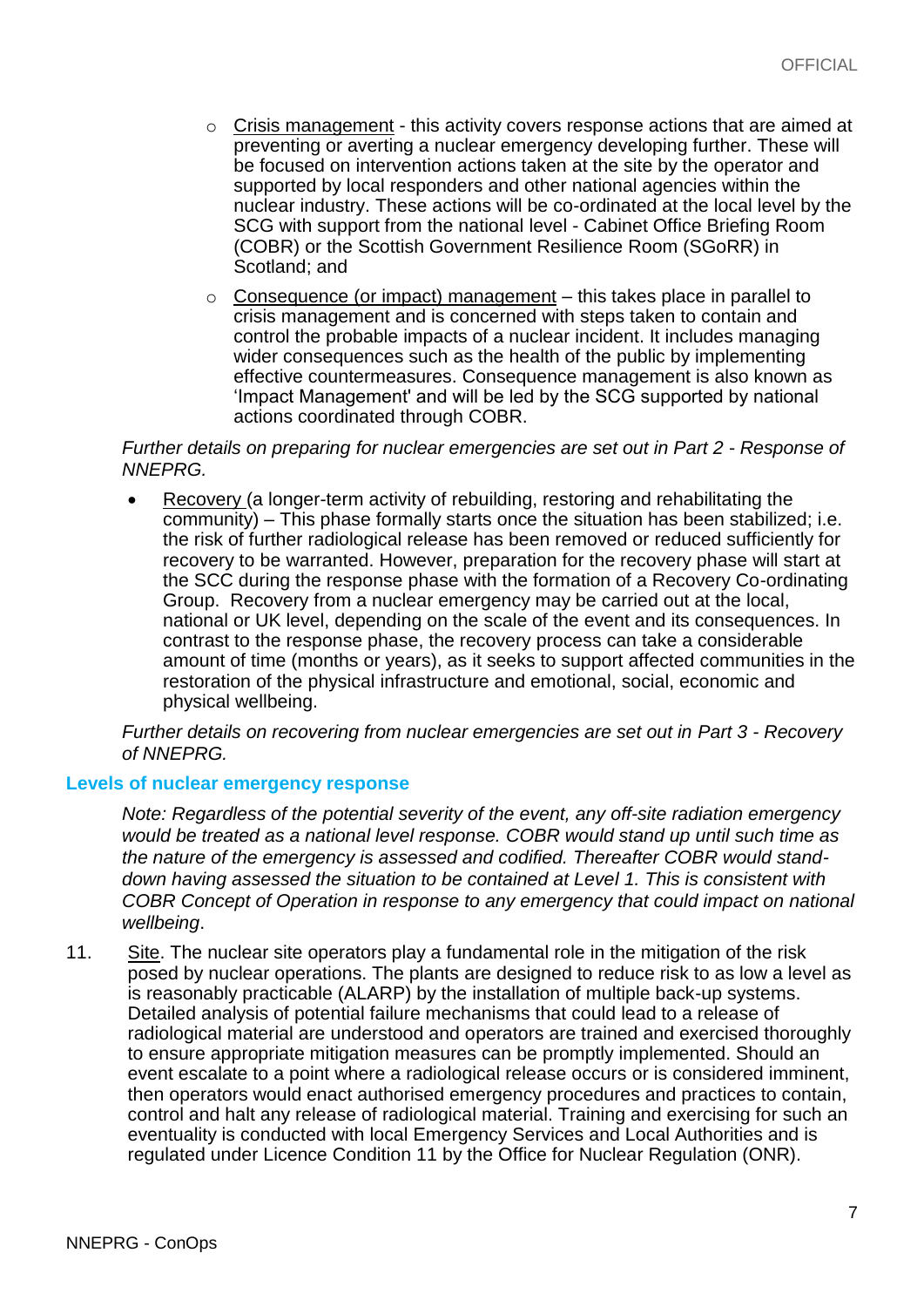- $\circ$  Crisis management this activity covers response actions that are aimed at preventing or averting a nuclear emergency developing further. These will be focused on intervention actions taken at the site by the operator and supported by local responders and other national agencies within the nuclear industry. These actions will be co-ordinated at the local level by the SCG with support from the national level - Cabinet Office Briefing Room (COBR) or the Scottish Government Resilience Room (SGoRR) in Scotland; and
- $\circ$  Consequence (or impact) management this takes place in parallel to crisis management and is concerned with steps taken to contain and control the probable impacts of a nuclear incident. It includes managing wider consequences such as the health of the public by implementing effective countermeasures. Consequence management is also known as 'Impact Management' and will be led by the SCG supported by national actions coordinated through COBR.

#### *Further details on preparing for nuclear emergencies are set out in Part 2 - Response of NNEPRG.*

 Recovery (a longer-term activity of rebuilding, restoring and rehabilitating the community) – This phase formally starts once the situation has been stabilized; i.e. the risk of further radiological release has been removed or reduced sufficiently for recovery to be warranted. However, preparation for the recovery phase will start at the SCC during the response phase with the formation of a Recovery Co-ordinating Group. Recovery from a nuclear emergency may be carried out at the local, national or UK level, depending on the scale of the event and its consequences. In contrast to the response phase, the recovery process can take a considerable amount of time (months or years), as it seeks to support affected communities in the restoration of the physical infrastructure and emotional, social, economic and physical wellbeing.

*Further details on recovering from nuclear emergencies are set out in Part 3 - Recovery of NNEPRG.*

#### <span id="page-6-0"></span>**Levels of nuclear emergency response**

*Note: Regardless of the potential severity of the event, any off-site radiation emergency would be treated as a national level response. COBR would stand up until such time as the nature of the emergency is assessed and codified. Thereafter COBR would standdown having assessed the situation to be contained at Level 1. This is consistent with COBR Concept of Operation in response to any emergency that could impact on national wellbeing*.

11. Site. The nuclear site operators play a fundamental role in the mitigation of the risk posed by nuclear operations. The plants are designed to reduce risk to as low a level as is reasonably practicable (ALARP) by the installation of multiple back-up systems. Detailed analysis of potential failure mechanisms that could lead to a release of radiological material are understood and operators are trained and exercised thoroughly to ensure appropriate mitigation measures can be promptly implemented. Should an event escalate to a point where a radiological release occurs or is considered imminent, then operators would enact authorised emergency procedures and practices to contain, control and halt any release of radiological material. Training and exercising for such an eventuality is conducted with local Emergency Services and Local Authorities and is regulated under Licence Condition 11 by the Office for Nuclear Regulation (ONR).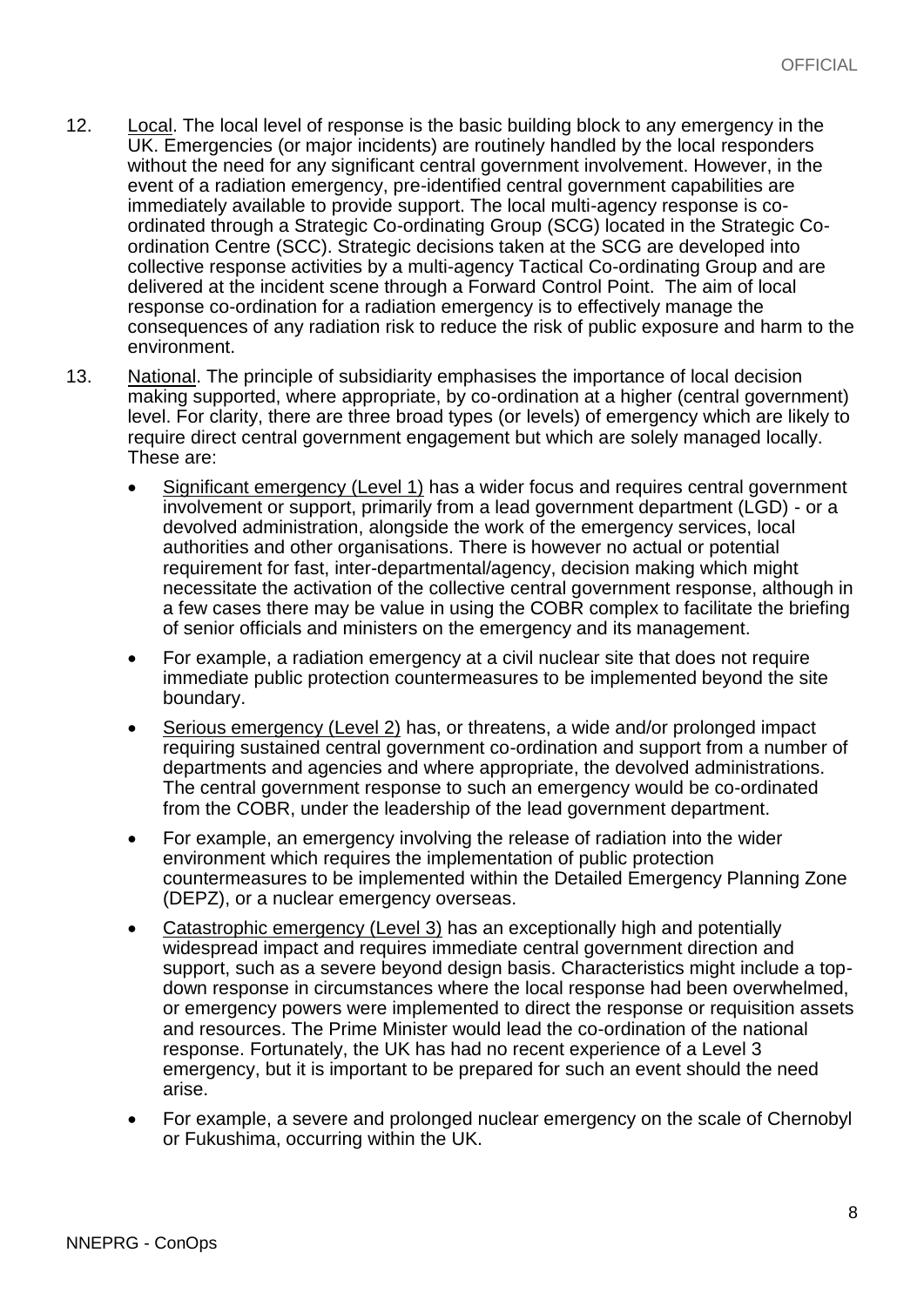- 12. Local. The local level of response is the basic building block to any emergency in the UK. Emergencies (or major incidents) are routinely handled by the local responders without the need for any significant central government involvement. However, in the event of a radiation emergency, pre-identified central government capabilities are immediately available to provide support. The local multi-agency response is coordinated through a Strategic Co-ordinating Group (SCG) located in the Strategic Coordination Centre (SCC). Strategic decisions taken at the SCG are developed into collective response activities by a multi-agency Tactical Co-ordinating Group and are delivered at the incident scene through a Forward Control Point. The aim of local response co-ordination for a radiation emergency is to effectively manage the consequences of any radiation risk to reduce the risk of public exposure and harm to the environment.
- 13. National. The principle of subsidiarity emphasises the importance of local decision making supported, where appropriate, by co-ordination at a higher (central government) level. For clarity, there are three broad types (or levels) of emergency which are likely to require direct central government engagement but which are solely managed locally. These are:
	- Significant emergency (Level 1) has a wider focus and requires central government involvement or support, primarily from a lead government department (LGD) - or a devolved administration, alongside the work of the emergency services, local authorities and other organisations. There is however no actual or potential requirement for fast, inter-departmental/agency, decision making which might necessitate the activation of the collective central government response, although in a few cases there may be value in using the COBR complex to facilitate the briefing of senior officials and ministers on the emergency and its management.
	- For example, a radiation emergency at a civil nuclear site that does not require immediate public protection countermeasures to be implemented beyond the site boundary.
	- Serious emergency (Level 2) has, or threatens, a wide and/or prolonged impact requiring sustained central government co-ordination and support from a number of departments and agencies and where appropriate, the devolved administrations. The central government response to such an emergency would be co-ordinated from the COBR, under the leadership of the lead government department.
	- For example, an emergency involving the release of radiation into the wider environment which requires the implementation of public protection countermeasures to be implemented within the Detailed Emergency Planning Zone (DEPZ), or a nuclear emergency overseas.
	- Catastrophic emergency (Level 3) has an exceptionally high and potentially widespread impact and requires immediate central government direction and support, such as a severe beyond design basis. Characteristics might include a topdown response in circumstances where the local response had been overwhelmed, or emergency powers were implemented to direct the response or requisition assets and resources. The Prime Minister would lead the co-ordination of the national response. Fortunately, the UK has had no recent experience of a Level 3 emergency, but it is important to be prepared for such an event should the need arise.
	- For example, a severe and prolonged nuclear emergency on the scale of Chernobyl or Fukushima, occurring within the UK.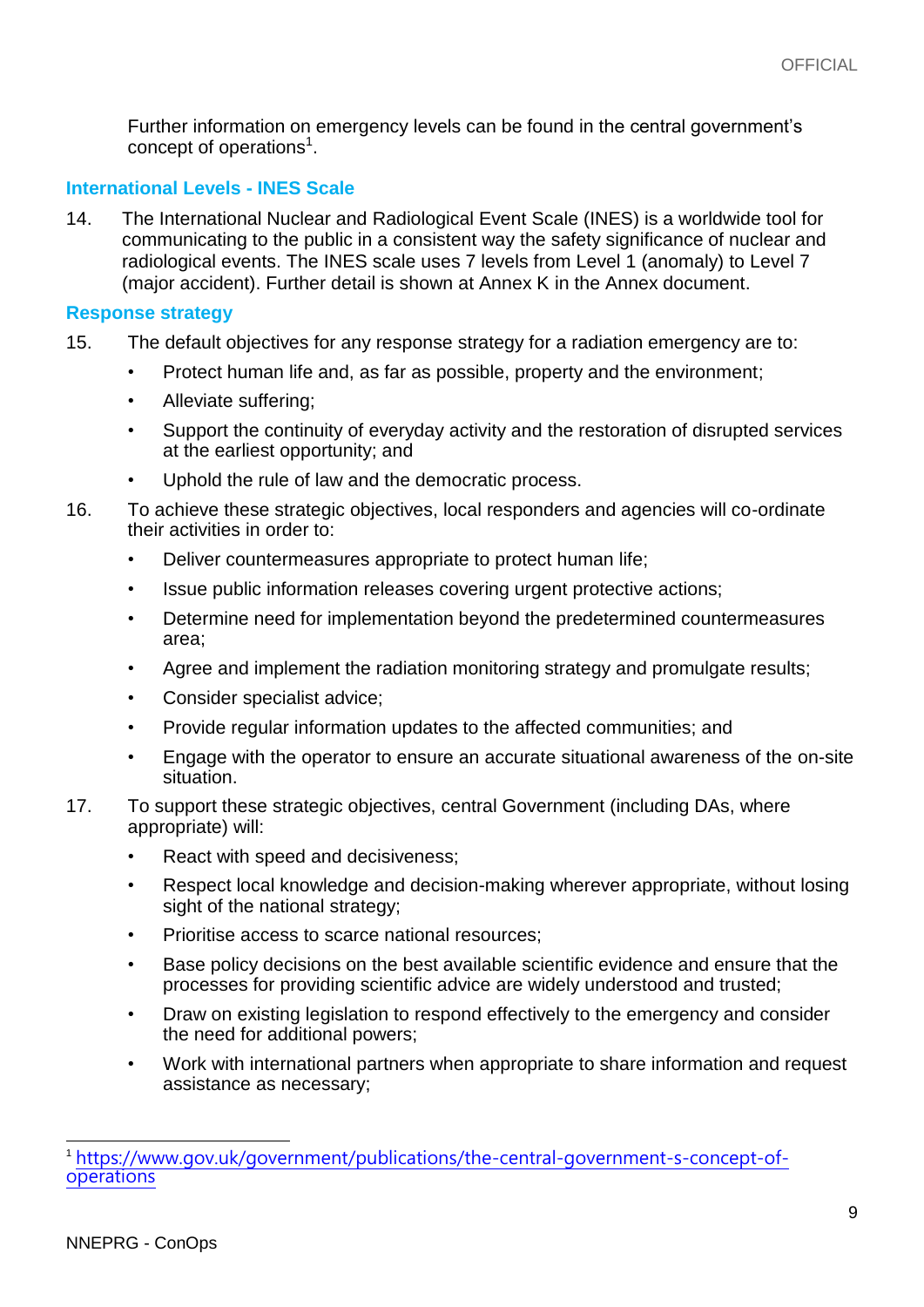Further information on emergency levels can be found in the central government's concept of operations<sup>1</sup>.

#### <span id="page-8-0"></span>**International Levels - INES Scale**

14. The International Nuclear and Radiological Event Scale (INES) is a worldwide tool for communicating to the public in a consistent way the safety significance of nuclear and radiological events. The INES scale uses 7 levels from Level 1 (anomaly) to Level 7 (major accident). Further detail is shown at Annex K in the Annex document.

#### <span id="page-8-1"></span>**Response strategy**

- 15. The default objectives for any response strategy for a radiation emergency are to:
	- Protect human life and, as far as possible, property and the environment;
	- Alleviate suffering;
	- Support the continuity of everyday activity and the restoration of disrupted services at the earliest opportunity; and
	- Uphold the rule of law and the democratic process.
- 16. To achieve these strategic objectives, local responders and agencies will co-ordinate their activities in order to:
	- Deliver countermeasures appropriate to protect human life;
	- Issue public information releases covering urgent protective actions;
	- Determine need for implementation beyond the predetermined countermeasures area;
	- Agree and implement the radiation monitoring strategy and promulgate results;
	- Consider specialist advice;
	- Provide regular information updates to the affected communities; and
	- Engage with the operator to ensure an accurate situational awareness of the on-site situation.
- 17. To support these strategic objectives, central Government (including DAs, where appropriate) will:
	- React with speed and decisiveness;
	- Respect local knowledge and decision-making wherever appropriate, without losing sight of the national strategy;
	- Prioritise access to scarce national resources;
	- Base policy decisions on the best available scientific evidence and ensure that the processes for providing scientific advice are widely understood and trusted;
	- Draw on existing legislation to respond effectively to the emergency and consider the need for additional powers;
	- Work with international partners when appropriate to share information and request assistance as necessary;

l <sup>1</sup> [https://www.gov.uk/government/publications/the-central-government-s-concept-of](https://www.gov.uk/government/publications/the-central-government-s-concept-of-operations)[operations](https://www.gov.uk/government/publications/the-central-government-s-concept-of-operations)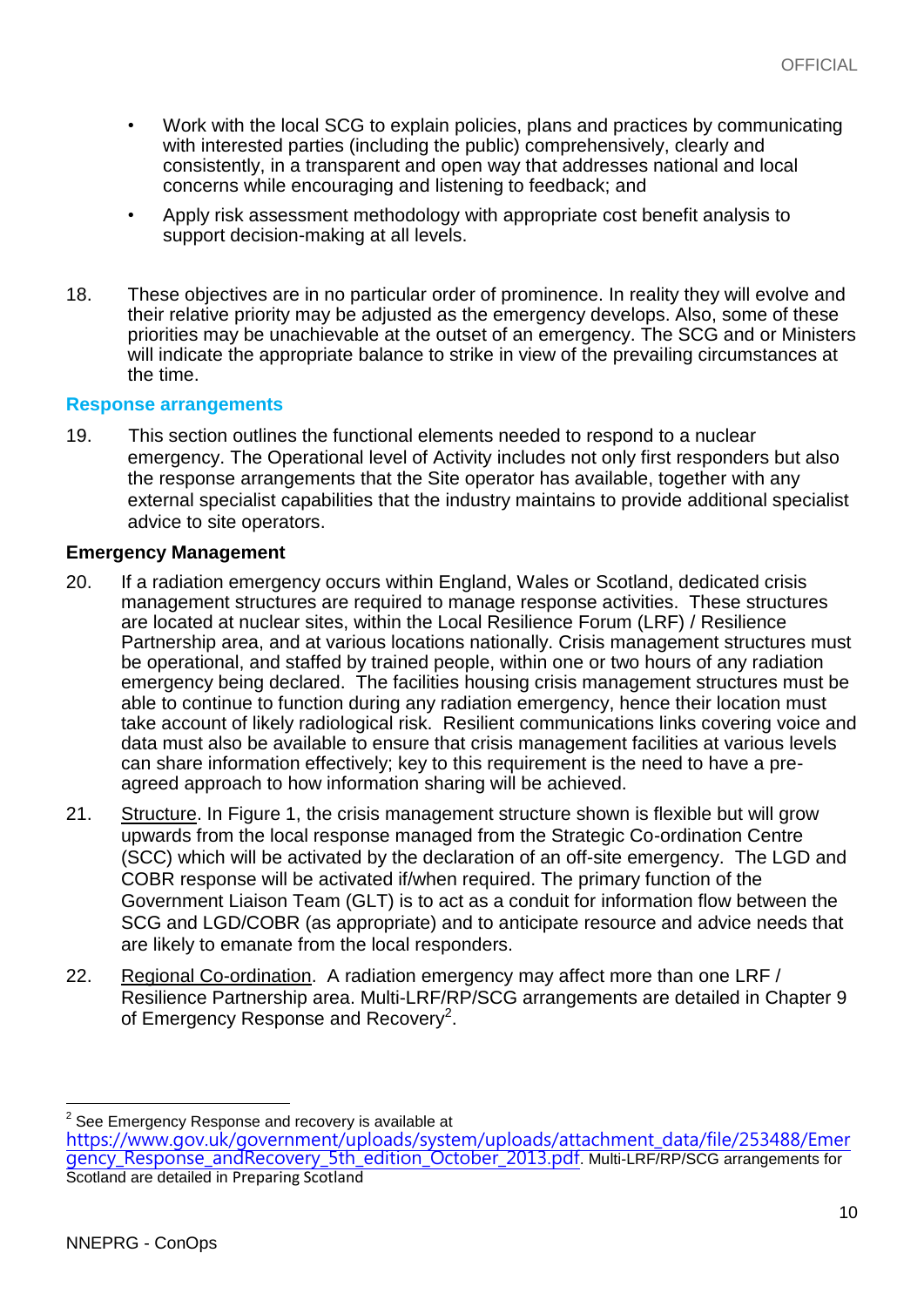- Work with the local SCG to explain policies, plans and practices by communicating with interested parties (including the public) comprehensively, clearly and consistently, in a transparent and open way that addresses national and local concerns while encouraging and listening to feedback; and
- Apply risk assessment methodology with appropriate cost benefit analysis to support decision-making at all levels.
- 18. These objectives are in no particular order of prominence. In reality they will evolve and their relative priority may be adjusted as the emergency develops. Also, some of these priorities may be unachievable at the outset of an emergency. The SCG and or Ministers will indicate the appropriate balance to strike in view of the prevailing circumstances at the time.

#### <span id="page-9-0"></span>**Response arrangements**

19. This section outlines the functional elements needed to respond to a nuclear emergency. The Operational level of Activity includes not only first responders but also the response arrangements that the Site operator has available, together with any external specialist capabilities that the industry maintains to provide additional specialist advice to site operators.

#### <span id="page-9-1"></span>**Emergency Management**

- 20. If a radiation emergency occurs within England, Wales or Scotland, dedicated crisis management structures are required to manage response activities. These structures are located at nuclear sites, within the Local Resilience Forum (LRF) / Resilience Partnership area, and at various locations nationally. Crisis management structures must be operational, and staffed by trained people, within one or two hours of any radiation emergency being declared. The facilities housing crisis management structures must be able to continue to function during any radiation emergency, hence their location must take account of likely radiological risk. Resilient communications links covering voice and data must also be available to ensure that crisis management facilities at various levels can share information effectively; key to this requirement is the need to have a preagreed approach to how information sharing will be achieved.
- 21. Structure. In Figure 1, the crisis management structure shown is flexible but will grow upwards from the local response managed from the Strategic Co-ordination Centre (SCC) which will be activated by the declaration of an off-site emergency. The LGD and COBR response will be activated if/when required. The primary function of the Government Liaison Team (GLT) is to act as a conduit for information flow between the SCG and LGD/COBR (as appropriate) and to anticipate resource and advice needs that are likely to emanate from the local responders.
- 22. Regional Co-ordination. A radiation emergency may affect more than one LRF / Resilience Partnership area. Multi-LRF/RP/SCG arrangements are detailed in Chapter 9 of Emergency Response and Recovery<sup>2</sup>.

 $2$  See Emergency Response and recovery is available at

l

[https://www.gov.uk/government/uploads/system/uploads/attachment\\_data/file/253488/Emer](https://www.gov.uk/government/uploads/system/uploads/attachment_data/file/253488/Emergency_Response_and_Recovery_5th_edition_October_2013.pdf) [gency\\_Response\\_andRecovery\\_5th\\_edition\\_October\\_2013.pdf](https://www.gov.uk/government/uploads/system/uploads/attachment_data/file/253488/Emergency_Response_and_Recovery_5th_edition_October_2013.pdf). Multi-LRF/RP/SCG arrangements for Scotland are detailed in Preparing Scotland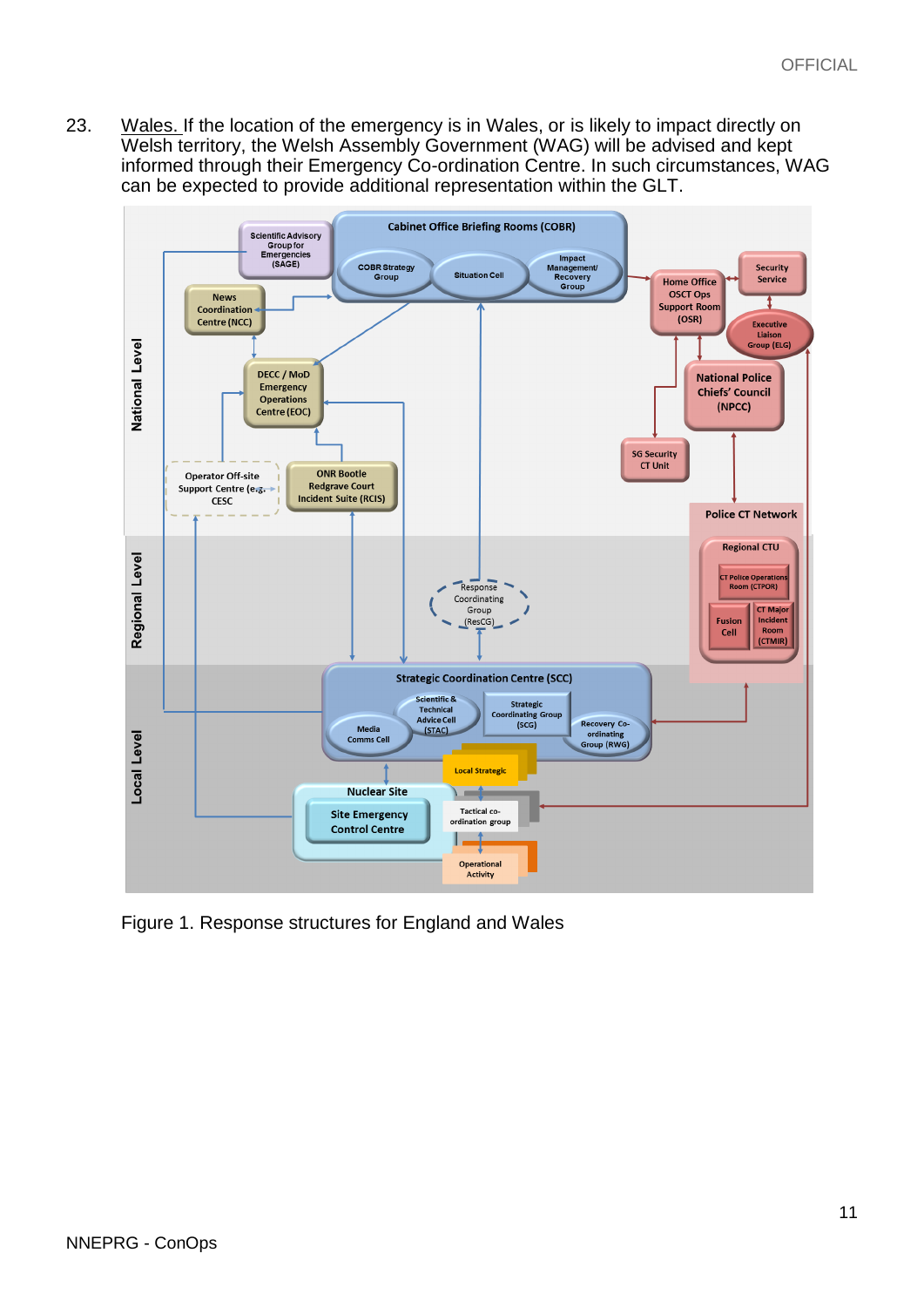23. Wales. If the location of the emergency is in Wales, or is likely to impact directly on Welsh territory, the Welsh Assembly Government (WAG) will be advised and kept informed through their Emergency Co-ordination Centre. In such circumstances, WAG can be expected to provide additional representation within the GLT.



Figure 1. Response structures for England and Wales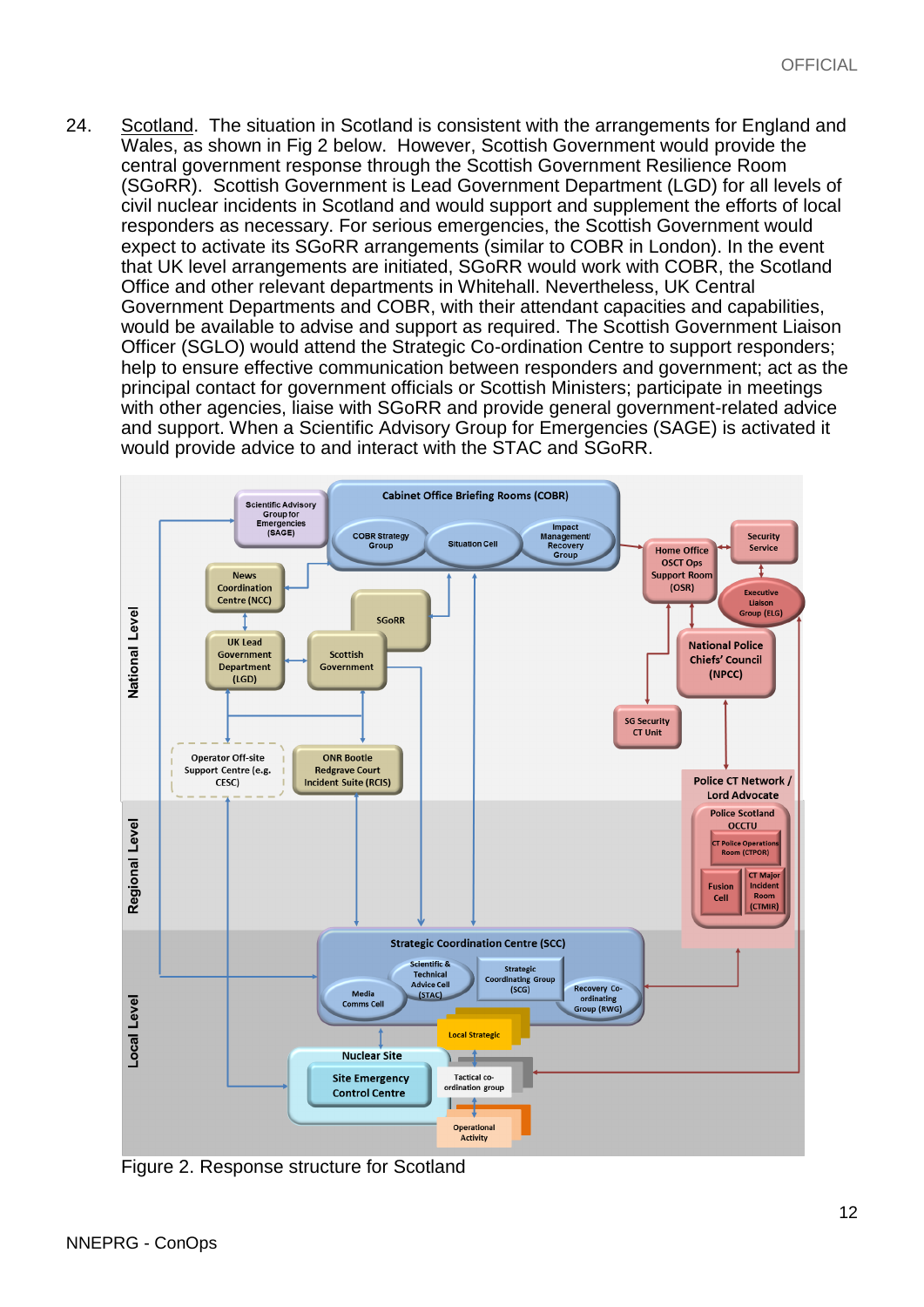24. Scotland. The situation in Scotland is consistent with the arrangements for England and Wales, as shown in Fig 2 below. However, Scottish Government would provide the central government response through the Scottish Government Resilience Room (SGoRR). Scottish Government is Lead Government Department (LGD) for all levels of civil nuclear incidents in Scotland and would support and supplement the efforts of local responders as necessary. For serious emergencies, the Scottish Government would expect to activate its SGoRR arrangements (similar to COBR in London). In the event that UK level arrangements are initiated, SGoRR would work with COBR, the Scotland Office and other relevant departments in Whitehall. Nevertheless, UK Central Government Departments and COBR, with their attendant capacities and capabilities, would be available to advise and support as required. The Scottish Government Liaison Officer (SGLO) would attend the Strategic Co-ordination Centre to support responders; help to ensure effective communication between responders and government; act as the principal contact for government officials or Scottish Ministers; participate in meetings with other agencies, liaise with SGoRR and provide general government-related advice and support. When a Scientific Advisory Group for Emergencies (SAGE) is activated it would provide advice to and interact with the STAC and SGoRR.



<span id="page-11-0"></span>Figure 2. Response structure for Scotland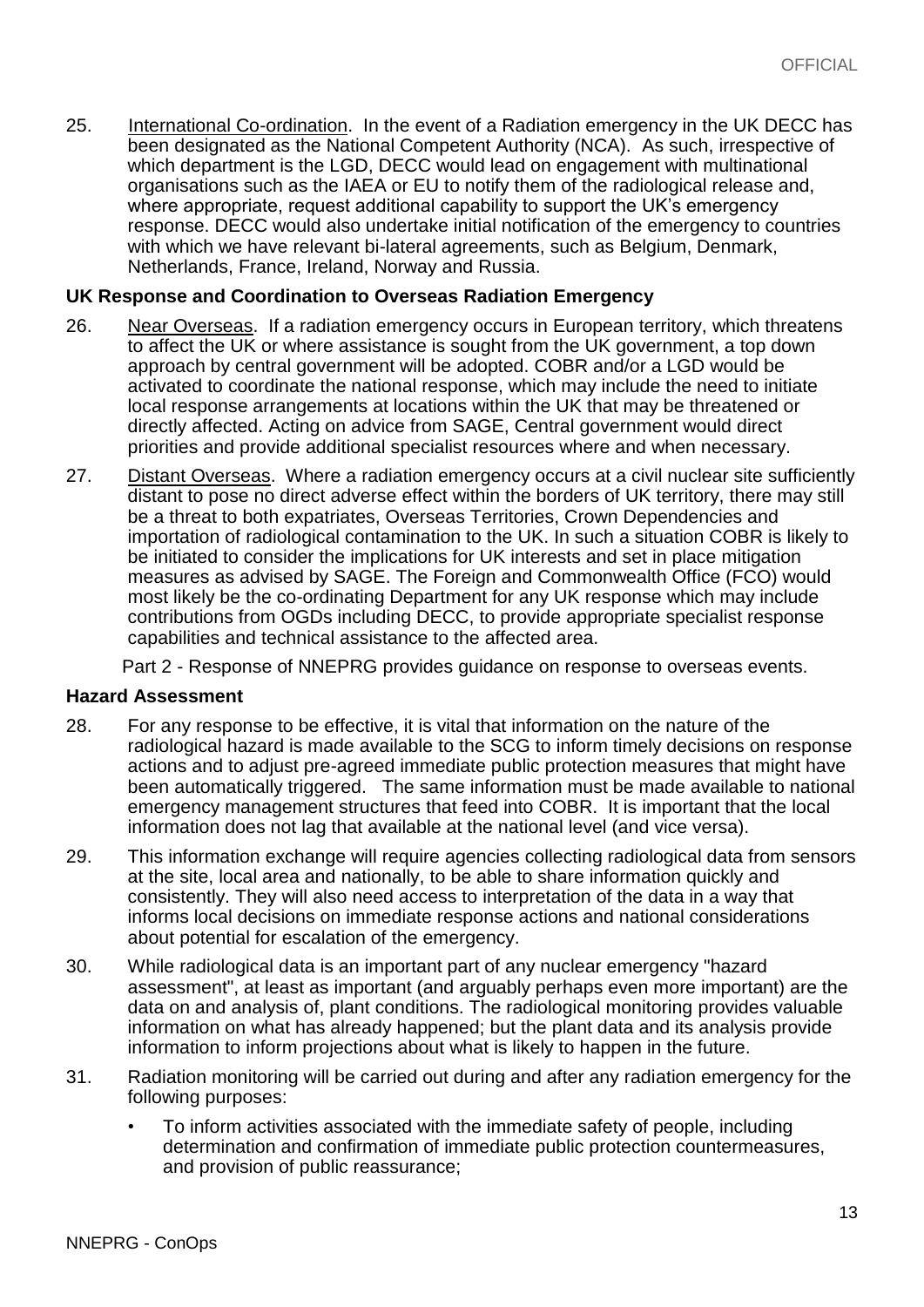25. International Co-ordination. In the event of a Radiation emergency in the UK DECC has been designated as the National Competent Authority (NCA). As such, irrespective of which department is the LGD, DECC would lead on engagement with multinational organisations such as the IAEA or EU to notify them of the radiological release and, where appropriate, request additional capability to support the UK's emergency response. DECC would also undertake initial notification of the emergency to countries with which we have relevant bi-lateral agreements, such as Belgium, Denmark, Netherlands, France, Ireland, Norway and Russia.

#### <span id="page-12-0"></span>**UK Response and Coordination to Overseas Radiation Emergency**

- 26. Near Overseas. If a radiation emergency occurs in European territory, which threatens to affect the UK or where assistance is sought from the UK government, a top down approach by central government will be adopted. COBR and/or a LGD would be activated to coordinate the national response, which may include the need to initiate local response arrangements at locations within the UK that may be threatened or directly affected. Acting on advice from SAGE, Central government would direct priorities and provide additional specialist resources where and when necessary.
- 27. Distant Overseas. Where a radiation emergency occurs at a civil nuclear site sufficiently distant to pose no direct adverse effect within the borders of UK territory, there may still be a threat to both expatriates, Overseas Territories, Crown Dependencies and importation of radiological contamination to the UK. In such a situation COBR is likely to be initiated to consider the implications for UK interests and set in place mitigation measures as advised by SAGE. The Foreign and Commonwealth Office (FCO) would most likely be the co-ordinating Department for any UK response which may include contributions from OGDs including DECC, to provide appropriate specialist response capabilities and technical assistance to the affected area.

Part 2 - Response of NNEPRG provides guidance on response to overseas events.

#### <span id="page-12-1"></span>**Hazard Assessment**

- 28. For any response to be effective, it is vital that information on the nature of the radiological hazard is made available to the SCG to inform timely decisions on response actions and to adjust pre-agreed immediate public protection measures that might have been automatically triggered. The same information must be made available to national emergency management structures that feed into COBR. It is important that the local information does not lag that available at the national level (and vice versa).
- 29. This information exchange will require agencies collecting radiological data from sensors at the site, local area and nationally, to be able to share information quickly and consistently. They will also need access to interpretation of the data in a way that informs local decisions on immediate response actions and national considerations about potential for escalation of the emergency.
- 30. While radiological data is an important part of any nuclear emergency "hazard assessment", at least as important (and arguably perhaps even more important) are the data on and analysis of, plant conditions. The radiological monitoring provides valuable information on what has already happened; but the plant data and its analysis provide information to inform projections about what is likely to happen in the future.
- 31. Radiation monitoring will be carried out during and after any radiation emergency for the following purposes:
	- To inform activities associated with the immediate safety of people, including determination and confirmation of immediate public protection countermeasures, and provision of public reassurance;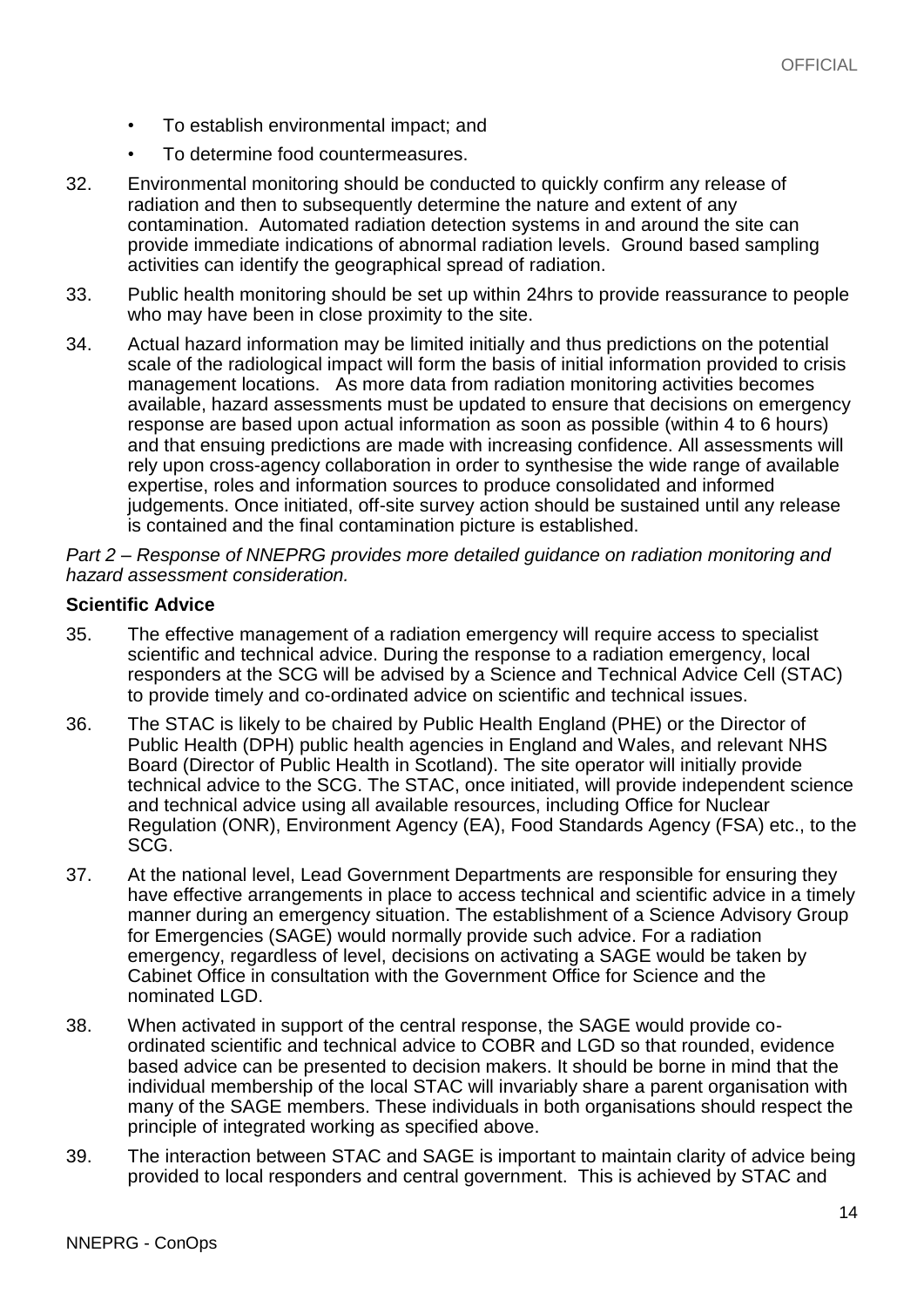- To establish environmental impact; and
- To determine food countermeasures.
- 32. Environmental monitoring should be conducted to quickly confirm any release of radiation and then to subsequently determine the nature and extent of any contamination. Automated radiation detection systems in and around the site can provide immediate indications of abnormal radiation levels. Ground based sampling activities can identify the geographical spread of radiation.
- 33. Public health monitoring should be set up within 24hrs to provide reassurance to people who may have been in close proximity to the site.
- 34. Actual hazard information may be limited initially and thus predictions on the potential scale of the radiological impact will form the basis of initial information provided to crisis management locations. As more data from radiation monitoring activities becomes available, hazard assessments must be updated to ensure that decisions on emergency response are based upon actual information as soon as possible (within 4 to 6 hours) and that ensuing predictions are made with increasing confidence. All assessments will rely upon cross-agency collaboration in order to synthesise the wide range of available expertise, roles and information sources to produce consolidated and informed judgements. Once initiated, off-site survey action should be sustained until any release is contained and the final contamination picture is established.

*Part 2 – Response of NNEPRG provides more detailed guidance on radiation monitoring and hazard assessment consideration.*

#### <span id="page-13-0"></span>**Scientific Advice**

- 35. The effective management of a radiation emergency will require access to specialist scientific and technical advice. During the response to a radiation emergency, local responders at the SCG will be advised by a Science and Technical Advice Cell (STAC) to provide timely and co-ordinated advice on scientific and technical issues.
- 36. The STAC is likely to be chaired by Public Health England (PHE) or the Director of Public Health (DPH) public health agencies in England and Wales, and relevant NHS Board (Director of Public Health in Scotland). The site operator will initially provide technical advice to the SCG. The STAC, once initiated, will provide independent science and technical advice using all available resources, including Office for Nuclear Regulation (ONR), Environment Agency (EA), Food Standards Agency (FSA) etc., to the SCG.
- 37. At the national level, Lead Government Departments are responsible for ensuring they have effective arrangements in place to access technical and scientific advice in a timely manner during an emergency situation. The establishment of a Science Advisory Group for Emergencies (SAGE) would normally provide such advice. For a radiation emergency, regardless of level, decisions on activating a SAGE would be taken by Cabinet Office in consultation with the Government Office for Science and the nominated LGD.
- 38. When activated in support of the central response, the SAGE would provide coordinated scientific and technical advice to COBR and LGD so that rounded, evidence based advice can be presented to decision makers. It should be borne in mind that the individual membership of the local STAC will invariably share a parent organisation with many of the SAGE members. These individuals in both organisations should respect the principle of integrated working as specified above.
- 39. The interaction between STAC and SAGE is important to maintain clarity of advice being provided to local responders and central government. This is achieved by STAC and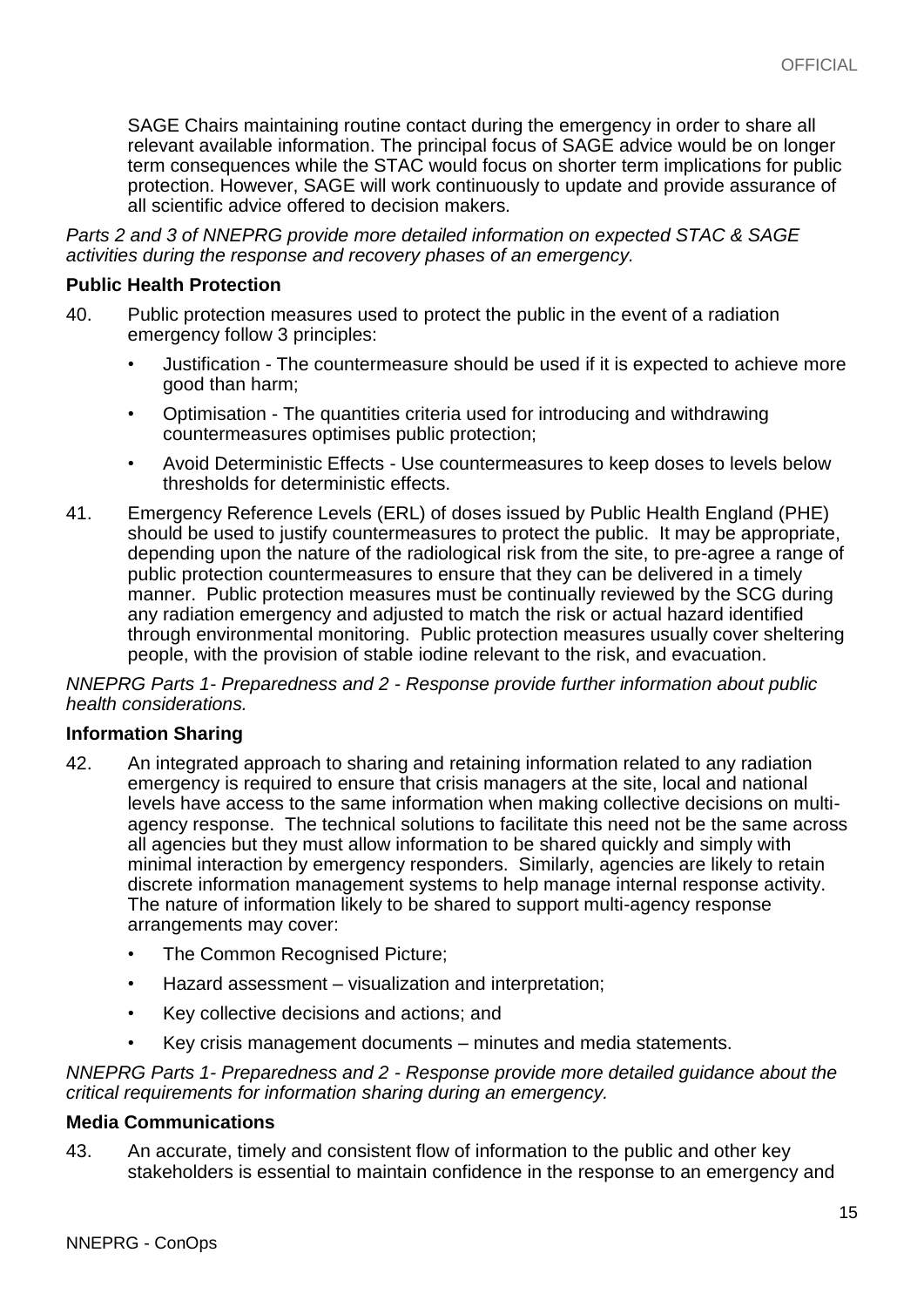SAGE Chairs maintaining routine contact during the emergency in order to share all relevant available information. The principal focus of SAGE advice would be on longer term consequences while the STAC would focus on shorter term implications for public protection. However, SAGE will work continuously to update and provide assurance of all scientific advice offered to decision makers.

*Parts 2 and 3 of NNEPRG provide more detailed information on expected STAC & SAGE activities during the response and recovery phases of an emergency.*

#### <span id="page-14-0"></span>**Public Health Protection**

- 40. Public protection measures used to protect the public in the event of a radiation emergency follow 3 principles:
	- Justification The countermeasure should be used if it is expected to achieve more good than harm;
	- Optimisation The quantities criteria used for introducing and withdrawing countermeasures optimises public protection;
	- Avoid Deterministic Effects Use countermeasures to keep doses to levels below thresholds for deterministic effects.
- 41. Emergency Reference Levels (ERL) of doses issued by Public Health England (PHE) should be used to justify countermeasures to protect the public. It may be appropriate, depending upon the nature of the radiological risk from the site, to pre-agree a range of public protection countermeasures to ensure that they can be delivered in a timely manner. Public protection measures must be continually reviewed by the SCG during any radiation emergency and adjusted to match the risk or actual hazard identified through environmental monitoring. Public protection measures usually cover sheltering people, with the provision of stable iodine relevant to the risk, and evacuation.

*NNEPRG Parts 1- Preparedness and 2 - Response provide further information about public health considerations.*

#### <span id="page-14-1"></span>**Information Sharing**

- 42. An integrated approach to sharing and retaining information related to any radiation emergency is required to ensure that crisis managers at the site, local and national levels have access to the same information when making collective decisions on multiagency response. The technical solutions to facilitate this need not be the same across all agencies but they must allow information to be shared quickly and simply with minimal interaction by emergency responders. Similarly, agencies are likely to retain discrete information management systems to help manage internal response activity. The nature of information likely to be shared to support multi-agency response arrangements may cover:
	- The Common Recognised Picture;
	- Hazard assessment visualization and interpretation;
	- Key collective decisions and actions; and
	- Key crisis management documents minutes and media statements.

*NNEPRG Parts 1- Preparedness and 2 - Response provide more detailed guidance about the critical requirements for information sharing during an emergency.*

#### <span id="page-14-2"></span>**Media Communications**

43. An accurate, timely and consistent flow of information to the public and other key stakeholders is essential to maintain confidence in the response to an emergency and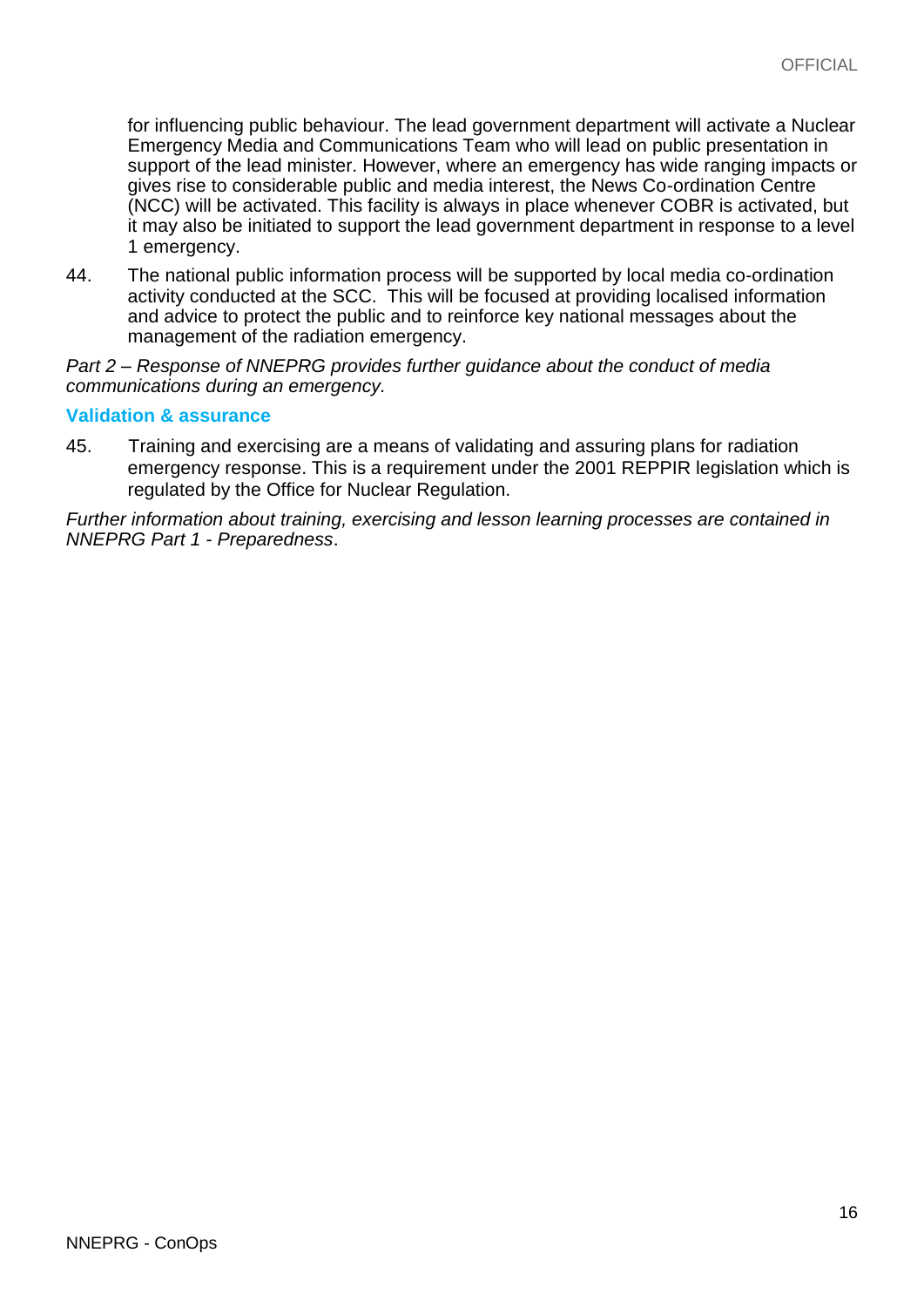for influencing public behaviour. The lead government department will activate a Nuclear Emergency Media and Communications Team who will lead on public presentation in support of the lead minister. However, where an emergency has wide ranging impacts or gives rise to considerable public and media interest, the News Co-ordination Centre (NCC) will be activated. This facility is always in place whenever COBR is activated, but it may also be initiated to support the lead government department in response to a level 1 emergency.

44. The national public information process will be supported by local media co-ordination activity conducted at the SCC. This will be focused at providing localised information and advice to protect the public and to reinforce key national messages about the management of the radiation emergency.

*Part 2 – Response of NNEPRG provides further guidance about the conduct of media communications during an emergency.*

#### <span id="page-15-0"></span>**Validation & assurance**

45. Training and exercising are a means of validating and assuring plans for radiation emergency response. This is a requirement under the 2001 REPPIR legislation which is regulated by the Office for Nuclear Regulation.

*Further information about training, exercising and lesson learning processes are contained in NNEPRG Part 1 - Preparedness*.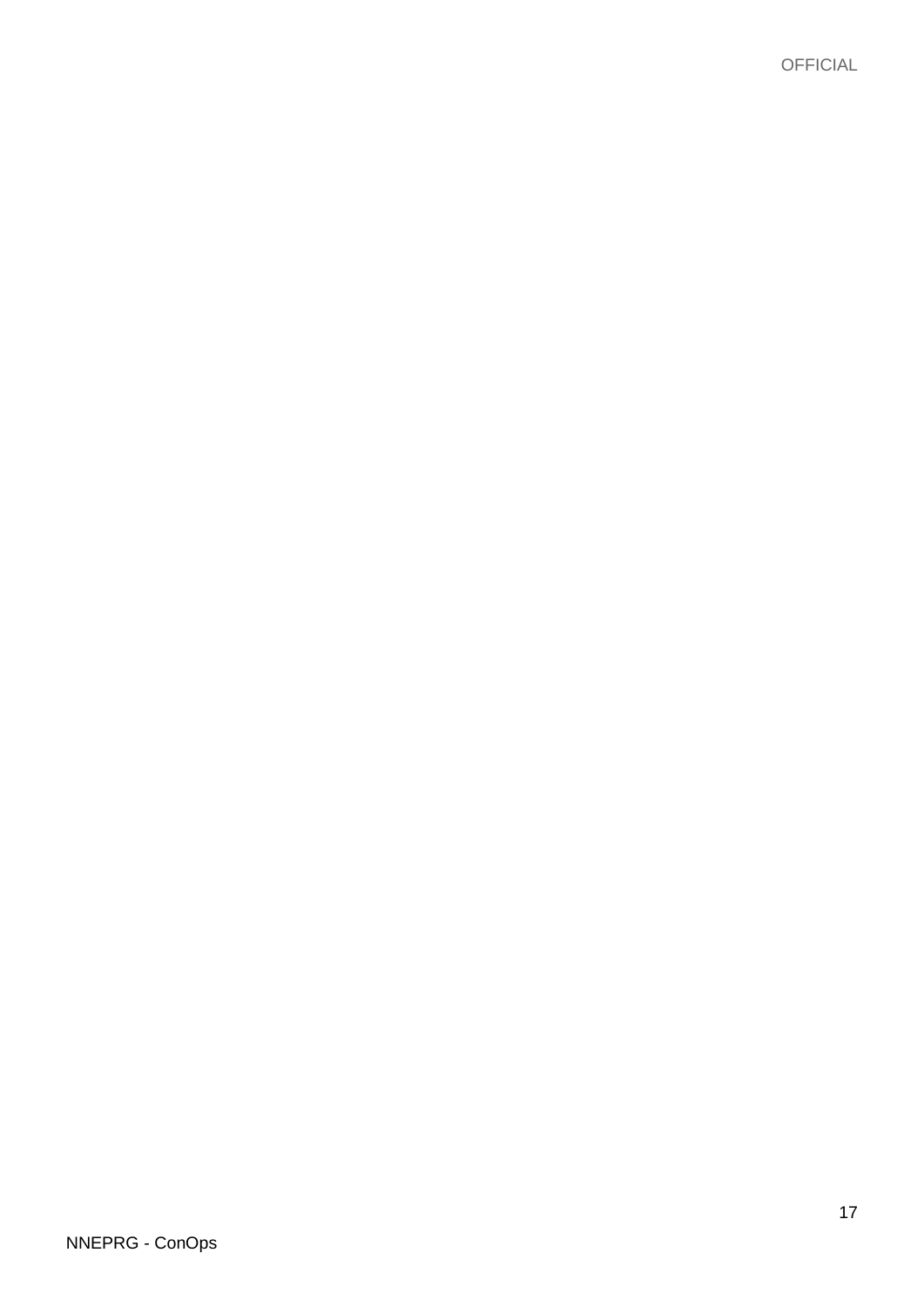#### **OFFICIAL**